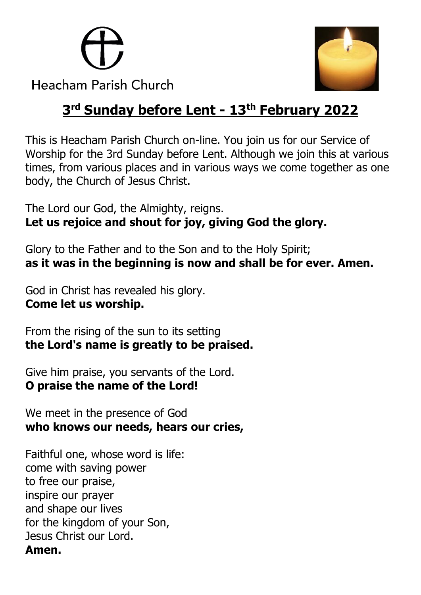



# **3 rd Sunday before Lent - 13 th February 2022**

This is Heacham Parish Church on-line. You join us for our Service of Worship for the 3rd Sunday before Lent. Although we join this at various times, from various places and in various ways we come together as one body, the Church of Jesus Christ.

The Lord our God, the Almighty, reigns. **Let us rejoice and shout for joy, giving God the glory.**

Glory to the Father and to the Son and to the Holy Spirit; **as it was in the beginning is now and shall be for ever. Amen.**

God in Christ has revealed his glory. **Come let us worship.**

From the rising of the sun to its setting **the Lord's name is greatly to be praised.**

Give him praise, you servants of the Lord. **O praise the name of the Lord!**

We meet in the presence of God **who knows our needs, hears our cries,**

Faithful one, whose word is life: come with saving power to free our praise, inspire our prayer and shape our lives for the kingdom of your Son, Jesus Christ our Lord. **Amen.**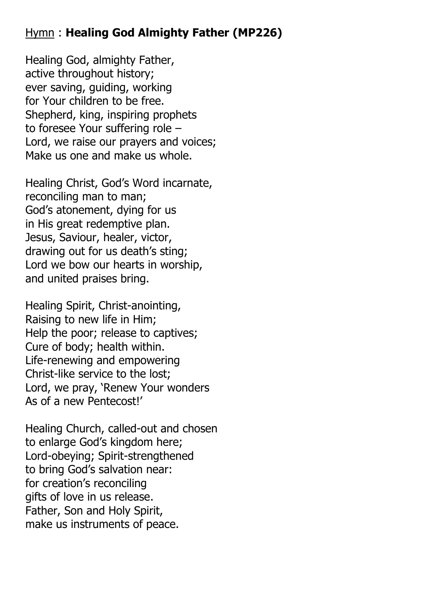### Hymn : **Healing God Almighty Father (MP226)**

Healing God, almighty Father, active throughout history; ever saving, guiding, working for Your children to be free. Shepherd, king, inspiring prophets to foresee Your suffering role – Lord, we raise our prayers and voices; Make us one and make us whole.

Healing Christ, God's Word incarnate, reconciling man to man; God's atonement, dying for us in His great redemptive plan. Jesus, Saviour, healer, victor, drawing out for us death's sting; Lord we bow our hearts in worship, and united praises bring.

Healing Spirit, Christ-anointing, Raising to new life in Him; Help the poor; release to captives; Cure of body; health within. Life-renewing and empowering Christ-like service to the lost; Lord, we pray, 'Renew Your wonders As of a new Pentecost!'

Healing Church, called-out and chosen to enlarge God's kingdom here; Lord-obeying; Spirit-strengthened to bring God's salvation near: for creation's reconciling gifts of love in us release. Father, Son and Holy Spirit, make us instruments of peace.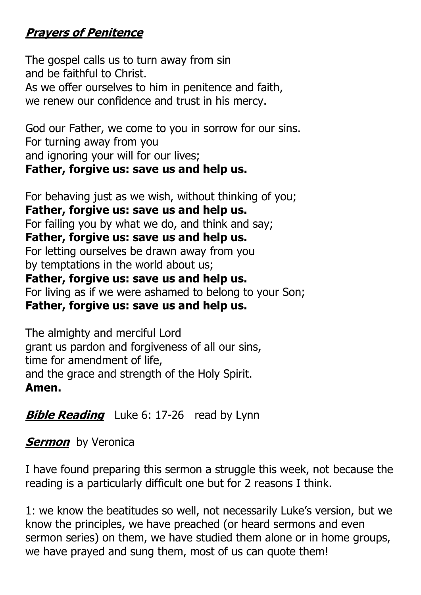#### **Prayers of Penitence**

The gospel calls us to turn away from sin and be faithful to Christ. As we offer ourselves to him in penitence and faith, we renew our confidence and trust in his mercy.

God our Father, we come to you in sorrow for our sins. For turning away from you and ignoring your will for our lives; **Father, forgive us: save us and help us.**

For behaving just as we wish, without thinking of you; **Father, forgive us: save us and help us.** For failing you by what we do, and think and say; **Father, forgive us: save us and help us.** For letting ourselves be drawn away from you by temptations in the world about us; **Father, forgive us: save us and help us.** For living as if we were ashamed to belong to your Son; **Father, forgive us: save us and help us.**

The almighty and merciful Lord grant us pardon and forgiveness of all our sins, time for amendment of life, and the grace and strength of the Holy Spirit. **Amen.**

**Bible Reading** Luke 6: 17-26 read by Lynn

**Sermon** by Veronica

I have found preparing this sermon a struggle this week, not because the reading is a particularly difficult one but for 2 reasons I think.

1: we know the beatitudes so well, not necessarily Luke's version, but we know the principles, we have preached (or heard sermons and even sermon series) on them, we have studied them alone or in home groups, we have prayed and sung them, most of us can quote them!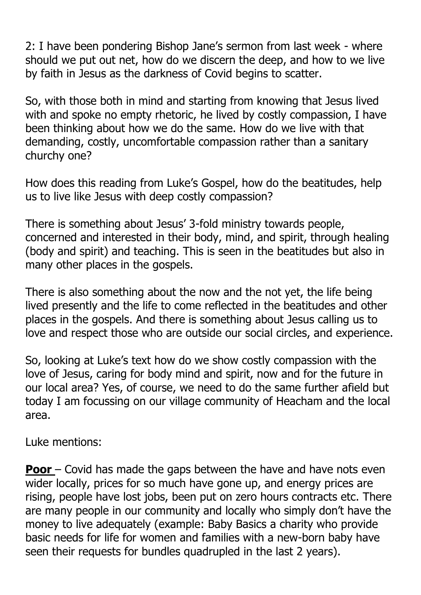2: I have been pondering Bishop Jane's sermon from last week - where should we put out net, how do we discern the deep, and how to we live by faith in Jesus as the darkness of Covid begins to scatter.

So, with those both in mind and starting from knowing that Jesus lived with and spoke no empty rhetoric, he lived by costly compassion, I have been thinking about how we do the same. How do we live with that demanding, costly, uncomfortable compassion rather than a sanitary churchy one?

How does this reading from Luke's Gospel, how do the beatitudes, help us to live like Jesus with deep costly compassion?

There is something about Jesus' 3-fold ministry towards people, concerned and interested in their body, mind, and spirit, through healing (body and spirit) and teaching. This is seen in the beatitudes but also in many other places in the gospels.

There is also something about the now and the not yet, the life being lived presently and the life to come reflected in the beatitudes and other places in the gospels. And there is something about Jesus calling us to love and respect those who are outside our social circles, and experience.

So, looking at Luke's text how do we show costly compassion with the love of Jesus, caring for body mind and spirit, now and for the future in our local area? Yes, of course, we need to do the same further afield but today I am focussing on our village community of Heacham and the local area.

Luke mentions:

**Poor** – Covid has made the gaps between the have and have nots even wider locally, prices for so much have gone up, and energy prices are rising, people have lost jobs, been put on zero hours contracts etc. There are many people in our community and locally who simply don't have the money to live adequately (example: Baby Basics a charity who provide basic needs for life for women and families with a new-born baby have seen their requests for bundles quadrupled in the last 2 years).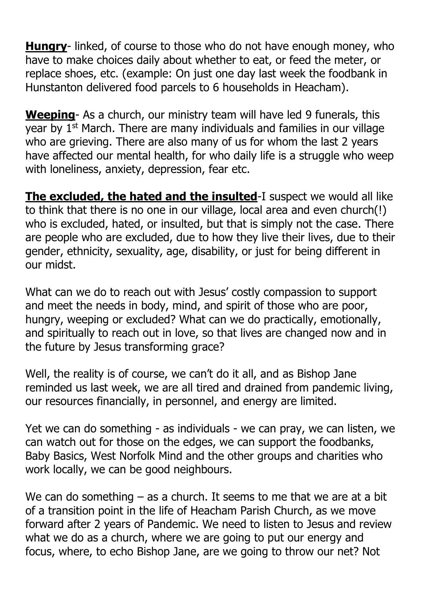**Hungry**- linked, of course to those who do not have enough money, who have to make choices daily about whether to eat, or feed the meter, or replace shoes, etc. (example: On just one day last week the foodbank in Hunstanton delivered food parcels to 6 households in Heacham).

**Weeping**- As a church, our ministry team will have led 9 funerals, this year by 1<sup>st</sup> March. There are many individuals and families in our village who are grieving. There are also many of us for whom the last 2 years have affected our mental health, for who daily life is a struggle who weep with loneliness, anxiety, depression, fear etc.

**The excluded, the hated and the insulted**-I suspect we would all like to think that there is no one in our village, local area and even church(!) who is excluded, hated, or insulted, but that is simply not the case. There are people who are excluded, due to how they live their lives, due to their gender, ethnicity, sexuality, age, disability, or just for being different in our midst.

What can we do to reach out with Jesus' costly compassion to support and meet the needs in body, mind, and spirit of those who are poor, hungry, weeping or excluded? What can we do practically, emotionally, and spiritually to reach out in love, so that lives are changed now and in the future by Jesus transforming grace?

Well, the reality is of course, we can't do it all, and as Bishop Jane reminded us last week, we are all tired and drained from pandemic living, our resources financially, in personnel, and energy are limited.

Yet we can do something - as individuals - we can pray, we can listen, we can watch out for those on the edges, we can support the foodbanks, Baby Basics, West Norfolk Mind and the other groups and charities who work locally, we can be good neighbours.

We can do something  $-$  as a church. It seems to me that we are at a bit of a transition point in the life of Heacham Parish Church, as we move forward after 2 years of Pandemic. We need to listen to Jesus and review what we do as a church, where we are going to put our energy and focus, where, to echo Bishop Jane, are we going to throw our net? Not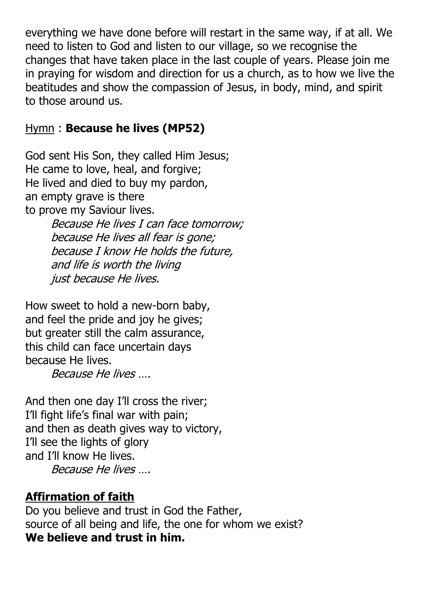everything we have done before will restart in the same way, if at all. We need to listen to God and listen to our village, so we recognise the changes that have taken place in the last couple of years. Please join me in praying for wisdom and direction for us a church, as to how we live the beatitudes and show the compassion of Jesus, in body, mind, and spirit to those around us.

### Hymn : **Because he lives (MP52)**

God sent His Son, they called Him Jesus; He came to love, heal, and forgive; He lived and died to buy my pardon, an empty grave is there to prove my Saviour lives. Because He lives I can face tomorrow;

because He lives all fear is gone; because I know He holds the future, and life is worth the living just because He lives.

How sweet to hold a new-born baby, and feel the pride and joy he gives; but greater still the calm assurance, this child can face uncertain days because He lives.

Because He lives ….

And then one day I'll cross the river; I'll fight life's final war with pain; and then as death gives way to victory, I'll see the lights of glory and I'll know He lives. Because He lives ….

#### **Affirmation of faith**

Do you believe and trust in God the Father, source of all being and life, the one for whom we exist? **We believe and trust in him.**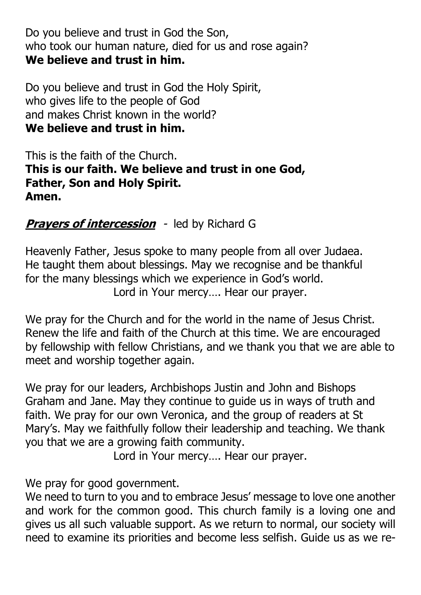Do you believe and trust in God the Son, who took our human nature, died for us and rose again? **We believe and trust in him.**

Do you believe and trust in God the Holy Spirit, who gives life to the people of God and makes Christ known in the world? **We believe and trust in him.**

This is the faith of the Church. **This is our faith. We believe and trust in one God, Father, Son and Holy Spirit. Amen.**

### **Prayers of intercession** - led by Richard G

Heavenly Father, Jesus spoke to many people from all over Judaea. He taught them about blessings. May we recognise and be thankful for the many blessings which we experience in God's world. Lord in Your mercy…. Hear our prayer.

We pray for the Church and for the world in the name of Jesus Christ. Renew the life and faith of the Church at this time. We are encouraged by fellowship with fellow Christians, and we thank you that we are able to meet and worship together again.

We pray for our leaders, Archbishops Justin and John and Bishops Graham and Jane. May they continue to guide us in ways of truth and faith. We pray for our own Veronica, and the group of readers at St Mary's. May we faithfully follow their leadership and teaching. We thank you that we are a growing faith community.

Lord in Your mercy…. Hear our prayer.

We pray for good government.

We need to turn to you and to embrace Jesus' message to love one another and work for the common good. This church family is a loving one and gives us all such valuable support. As we return to normal, our society will need to examine its priorities and become less selfish. Guide us as we re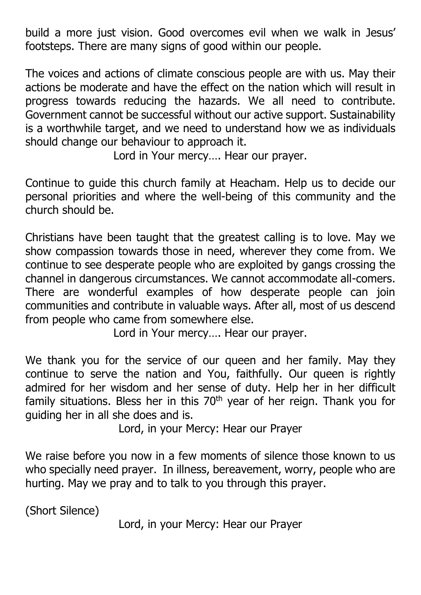build a more just vision. Good overcomes evil when we walk in Jesus' footsteps. There are many signs of good within our people.

The voices and actions of climate conscious people are with us. May their actions be moderate and have the effect on the nation which will result in progress towards reducing the hazards. We all need to contribute. Government cannot be successful without our active support. Sustainability is a worthwhile target, and we need to understand how we as individuals should change our behaviour to approach it.

Lord in Your mercy…. Hear our prayer.

Continue to guide this church family at Heacham. Help us to decide our personal priorities and where the well-being of this community and the church should be.

Christians have been taught that the greatest calling is to love. May we show compassion towards those in need, wherever they come from. We continue to see desperate people who are exploited by gangs crossing the channel in dangerous circumstances. We cannot accommodate all-comers. There are wonderful examples of how desperate people can join communities and contribute in valuable ways. After all, most of us descend from people who came from somewhere else.

Lord in Your mercy…. Hear our prayer.

We thank you for the service of our queen and her family. May they continue to serve the nation and You, faithfully. Our queen is rightly admired for her wisdom and her sense of duty. Help her in her difficult family situations. Bless her in this  $70<sup>th</sup>$  year of her reign. Thank you for guiding her in all she does and is.

Lord, in your Mercy: Hear our Prayer

We raise before you now in a few moments of silence those known to us who specially need prayer. In illness, bereavement, worry, people who are hurting. May we pray and to talk to you through this prayer.

(Short Silence)

Lord, in your Mercy: Hear our Prayer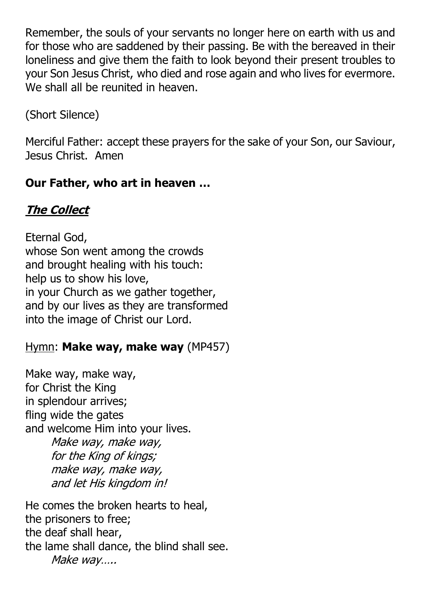Remember, the souls of your servants no longer here on earth with us and for those who are saddened by their passing. Be with the bereaved in their loneliness and give them the faith to look beyond their present troubles to your Son Jesus Christ, who died and rose again and who lives for evermore. We shall all be reunited in heaven.

(Short Silence)

Merciful Father: accept these prayers for the sake of your Son, our Saviour, Jesus Christ. Amen

## **Our Father, who art in heaven …**

## **The Collect**

Eternal God, whose Son went among the crowds and brought healing with his touch: help us to show his love, in your Church as we gather together, and by our lives as they are transformed into the image of Christ our Lord.

## Hymn: **Make way, make way** (MP457)

Make way, make way, for Christ the King in splendour arrives; fling wide the gates and welcome Him into your lives. Make way, make way, for the King of kings; make way, make way, and let His kingdom in!

He comes the broken hearts to heal, the prisoners to free; the deaf shall hear, the lame shall dance, the blind shall see. Make way…..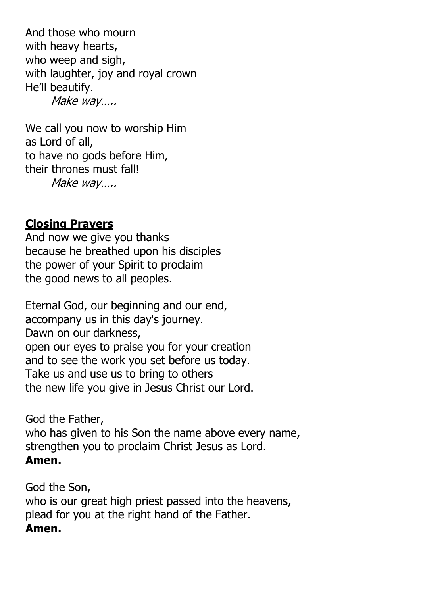And those who mourn with heavy hearts, who weep and sigh, with laughter, joy and royal crown He'll beautify. Make way…..

We call you now to worship Him as Lord of all, to have no gods before Him, their thrones must fall! Make way…..

#### **Closing Prayers**

And now we give you thanks because he breathed upon his disciples the power of your Spirit to proclaim the good news to all peoples.

Eternal God, our beginning and our end, accompany us in this day's journey. Dawn on our darkness, open our eyes to praise you for your creation and to see the work you set before us today. Take us and use us to bring to others the new life you give in Jesus Christ our Lord.

God the Father, who has given to his Son the name above every name, strengthen you to proclaim Christ Jesus as Lord. **Amen.**

God the Son, who is our great high priest passed into the heavens, plead for you at the right hand of the Father. **Amen.**